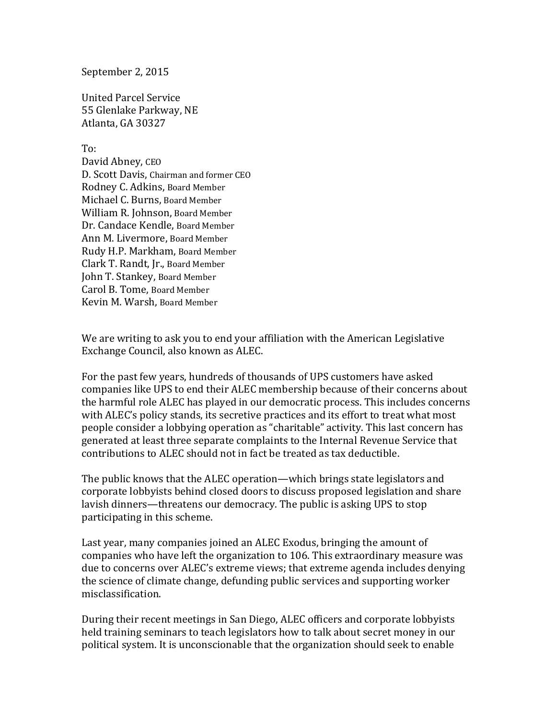September 2, 2015

United Parcel Service 55 Glenlake Parkway, NE Atlanta, GA 30327

## To:

David Abney, CEO D. Scott Davis, Chairman and former CEO Rodney C. Adkins, Board Member Michael C. Burns, Board Member William R. Johnson, Board Member Dr. Candace Kendle, Board Member Ann M. Livermore, Board Member Rudy H.P. Markham, Board Member Clark T. Randt, Jr., Board Member John T. Stankey, Board Member Carol B. Tome, Board Member Kevin M. Warsh, Board Member

We are writing to ask you to end your affiliation with the American Legislative Exchange Council, also known as ALEC.

For the past few years, hundreds of thousands of UPS customers have asked companies like UPS to end their ALEC membership because of their concerns about the harmful role ALEC has played in our democratic process. This includes concerns with ALEC's policy stands, its secretive practices and its effort to treat what most people consider a lobbying operation as "charitable" activity. This last concern has generated at least three separate complaints to the Internal Revenue Service that contributions to ALEC should not in fact be treated as tax deductible.

The public knows that the ALEC operation—which brings state legislators and corporate lobbyists behind closed doors to discuss proposed legislation and share lavish dinners—threatens our democracy. The public is asking UPS to stop participating in this scheme.

Last year, many companies joined an ALEC Exodus, bringing the amount of companies who have left the organization to 106. This extraordinary measure was due to concerns over ALEC's extreme views; that extreme agenda includes denying the science of climate change, defunding public services and supporting worker misclassification.

During their recent meetings in San Diego, ALEC officers and corporate lobbyists held training seminars to teach legislators how to talk about secret money in our political system. It is unconscionable that the organization should seek to enable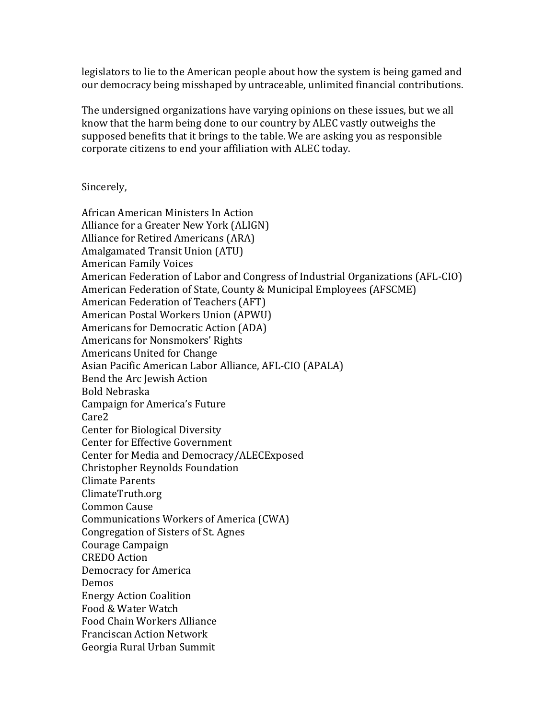legislators to lie to the American people about how the system is being gamed and our democracy being misshaped by untraceable, unlimited financial contributions.

The undersigned organizations have varying opinions on these issues, but we all know that the harm being done to our country by ALEC vastly outweighs the supposed benefits that it brings to the table. We are asking you as responsible corporate citizens to end your affiliation with ALEC today.

Sincerely,

African American Ministers In Action Alliance for a Greater New York (ALIGN) Alliance for Retired Americans (ARA) Amalgamated Transit Union (ATU) American Family Voices American Federation of Labor and Congress of Industrial Organizations (AFL-CIO) American Federation of State, County & Municipal Employees (AFSCME) American Federation of Teachers (AFT) American Postal Workers Union (APWU) Americans for Democratic Action (ADA) Americans for Nonsmokers' Rights Americans United for Change Asian Pacific American Labor Alliance, AFL-CIO (APALA) Bend the Arc Jewish Action Bold Nebraska Campaign for America's Future Care2 Center for Biological Diversity Center for Effective Government Center for Media and Democracy/ALECExposed Christopher Reynolds Foundation Climate Parents ClimateTruth.org Common Cause Communications Workers of America (CWA) Congregation of Sisters of St. Agnes Courage Campaign CREDO Action Democracy for America Demos Energy Action Coalition Food & Water Watch Food Chain Workers Alliance Franciscan Action Network Georgia Rural Urban Summit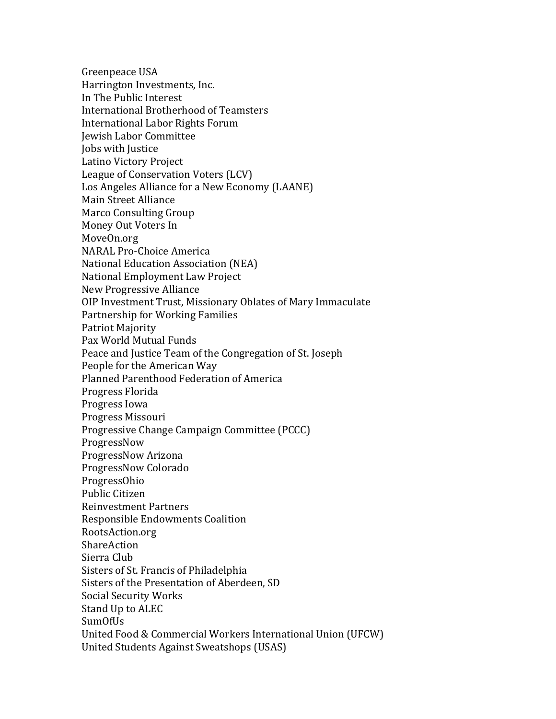Greenpeace USA Harrington Investments, Inc. In The Public Interest International Brotherhood of Teamsters International Labor Rights Forum Jewish Labor Committee Jobs with Justice Latino Victory Project League of Conservation Voters (LCV) Los Angeles Alliance for a New Economy (LAANE) Main Street Alliance Marco Consulting Group Money Out Voters In MoveOn.org NARAL Pro-Choice America National Education Association (NEA) National Employment Law Project New Progressive Alliance OIP Investment Trust, Missionary Oblates of Mary Immaculate Partnership for Working Families Patriot Majority Pax World Mutual Funds Peace and Justice Team of the Congregation of St. Joseph People for the American Way Planned Parenthood Federation of America Progress Florida Progress Iowa Progress Missouri Progressive Change Campaign Committee (PCCC) ProgressNow ProgressNow Arizona ProgressNow Colorado ProgressOhio Public Citizen Reinvestment Partners Responsible Endowments Coalition RootsAction.org ShareAction Sierra Club Sisters of St. Francis of Philadelphia Sisters of the Presentation of Aberdeen, SD Social Security Works Stand Up to ALEC SumOfUs United Food & Commercial Workers International Union (UFCW) United Students Against Sweatshops (USAS)